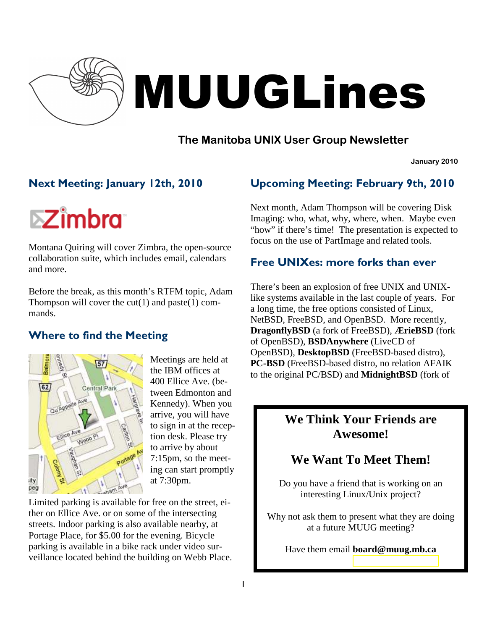

# MUUGLines

# **The Manitoba UNIX User Group Newsletter**

**January 2010**

# Next Meeting: January 12th, 2010

**EZimbra** 

Montana Quiring will cover Zimbra, the open-source collaboration suite, which includes email, calendars and more.

Before the break, as this month's RTFM topic, Adam Thompson will cover the  $cut(1)$  and paste $(1)$  commands.

# Where to find the Meeting



Meetings are held at the IBM offices at 400 Ellice Ave. (between Edmonton and Kennedy). When you arrive, you will have to sign in at the reception desk. Please try to arrive by about 7:15pm, so the meeting can start promptly at 7:30pm.

Limited parking is available for free on the street, either on Ellice Ave. or on some of the intersecting streets. Indoor parking is also available nearby, at Portage Place, for \$5.00 for the evening. Bicycle parking is available in a bike rack under video surveillance located behind the building on Webb Place.

# Upcoming Meeting: February 9th, 2010

Next month, Adam Thompson will be covering Disk Imaging: who, what, why, where, when. Maybe even "how" if there's time! The presentation is expected to focus on the use of PartImage and related tools.

## Free UNIXes: more forks than ever

There's been an explosion of free UNIX and UNIXlike systems available in the last couple of years. For a long time, the free options consisted of Linux, NetBSD, FreeBSD, and OpenBSD. More recently, **DragonflyBSD** (a fork of FreeBSD), **ÆrieBSD** (fork of OpenBSD), **BSDAnywhere** (LiveCD of OpenBSD), **DesktopBSD** (FreeBSD-based distro), **PC-BSD** (FreeBSD-based distro, no relation AFAIK to the original PC/BSD) and **MidnightBSD** (fork of

# **We Think Your Friends are Awesome!**

# **We Want To Meet Them!**

Do you have a friend that is working on an interesting Linux/Unix project?

Why not ask them to present what they are doing at a future MUUG meeting?

Have them email **board@muug.mb.ca**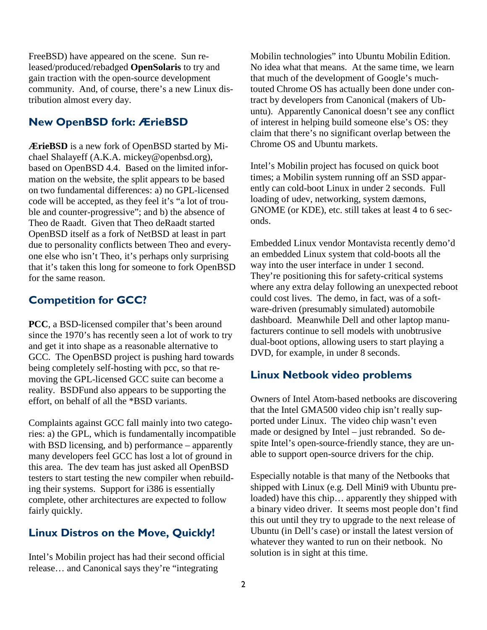FreeBSD) have appeared on the scene. Sun released/produced/rebadged **OpenSolaris** to try and gain traction with the open-source development community. And, of course, there's a new Linux distribution almost every day.

# New OpenBSD fork: ÆrieBSD

**ÆrieBSD** is a new fork of OpenBSD started by Michael Shalayeff (A.K.A. mickey@openbsd.org), based on OpenBSD 4.4. Based on the limited information on the website, the split appears to be based on two fundamental differences: a) no GPL-licensed code will be accepted, as they feel it's "a lot of trouble and counter-progressive"; and b) the absence of Theo de Raadt. Given that Theo deRaadt started OpenBSD itself as a fork of NetBSD at least in part due to personality conflicts between Theo and everyone else who isn't Theo, it's perhaps only surprising that it's taken this long for someone to fork OpenBSD for the same reason.

# Competition for GCC?

**PCC**, a BSD-licensed compiler that's been around since the 1970's has recently seen a lot of work to try and get it into shape as a reasonable alternative to GCC. The OpenBSD project is pushing hard towards being completely self-hosting with pcc, so that removing the GPL-licensed GCC suite can become a reality. BSDFund also appears to be supporting the effort, on behalf of all the \*BSD variants.

Complaints against GCC fall mainly into two categories: a) the GPL, which is fundamentally incompatible with BSD licensing, and b) performance – apparently many developers feel GCC has lost a lot of ground in this area. The dev team has just asked all OpenBSD testers to start testing the new compiler when rebuilding their systems. Support for i386 is essentially complete, other architectures are expected to follow fairly quickly.

# Linux Distros on the Move, Quickly!

Intel's Mobilin project has had their second official release… and Canonical says they're "integrating

Mobilin technologies" into Ubuntu Mobilin Edition. No idea what that means. At the same time, we learn that much of the development of Google's muchtouted Chrome OS has actually been done under contract by developers from Canonical (makers of Ubuntu). Apparently Canonical doesn't see any conflict of interest in helping build someone else's OS: they claim that there's no significant overlap between the Chrome OS and Ubuntu markets.

Intel's Mobilin project has focused on quick boot times; a Mobilin system running off an SSD apparently can cold-boot Linux in under 2 seconds. Full loading of udev, networking, system dæmons, GNOME (or KDE), etc. still takes at least 4 to 6 seconds.

Embedded Linux vendor Montavista recently demo'd an embedded Linux system that cold-boots all the way into the user interface in under 1 second. They're positioning this for safety-critical systems where any extra delay following an unexpected reboot could cost lives. The demo, in fact, was of a software-driven (presumably simulated) automobile dashboard. Meanwhile Dell and other laptop manufacturers continue to sell models with unobtrusive dual-boot options, allowing users to start playing a DVD, for example, in under 8 seconds.

#### Linux Netbook video problems

Owners of Intel Atom-based netbooks are discovering that the Intel GMA500 video chip isn't really supported under Linux. The video chip wasn't even made or designed by Intel – just rebranded. So despite Intel's open-source-friendly stance, they are unable to support open-source drivers for the chip.

Especially notable is that many of the Netbooks that shipped with Linux (e.g. Dell Mini9 with Ubuntu preloaded) have this chip… apparently they shipped with a binary video driver. It seems most people don't find this out until they try to upgrade to the next release of Ubuntu (in Dell's case) or install the latest version of whatever they wanted to run on their netbook. No solution is in sight at this time.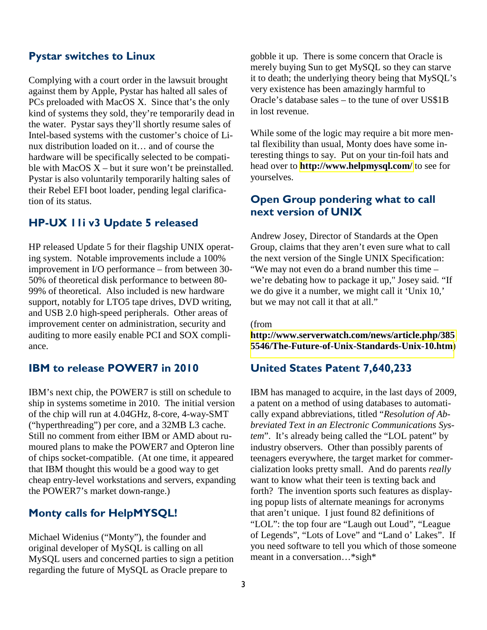## Pystar switches to Linux

Complying with a court order in the lawsuit brought against them by Apple, Pystar has halted all sales of PCs preloaded with MacOS X. Since that's the only kind of systems they sold, they're temporarily dead in the water. Pystar says they'll shortly resume sales of Intel-based systems with the customer's choice of Linux distribution loaded on it… and of course the hardware will be specifically selected to be compatible with MacOS  $X$  – but it sure won't be preinstalled. Pystar is also voluntarily temporarily halting sales of their Rebel EFI boot loader, pending legal clarification of its status.

#### HP-UX 11i v3 Update 5 released

HP released Update 5 for their flagship UNIX operating system. Notable improvements include a 100% improvement in I/O performance – from between 30- 50% of theoretical disk performance to between 80- 99% of theoretical. Also included is new hardware support, notably for LTO5 tape drives, DVD writing, and USB 2.0 high-speed peripherals. Other areas of improvement center on administration, security and auditing to more easily enable PCI and SOX compliance.

#### IBM to release POWER7 in 2010

IBM's next chip, the POWER7 is still on schedule to ship in systems sometime in 2010. The initial version of the chip will run at 4.04GHz, 8-core, 4-way-SMT ("hyperthreading") per core, and a 32MB L3 cache. Still no comment from either IBM or AMD about rumoured plans to make the POWER7 and Opteron line of chips socket-compatible. (At one time, it appeared that IBM thought this would be a good way to get cheap entry-level workstations and servers, expanding the POWER7's market down-range.)

#### Monty calls for HelpMYSQL!

Michael Widenius ("Monty"), the founder and original developer of MySQL is calling on all MySQL users and concerned parties to sign a petition regarding the future of MySQL as Oracle prepare to

gobble it up. There is some concern that Oracle is merely buying Sun to get MySQL so they can starve it to death; the underlying theory being that MySQL's very existence has been amazingly harmful to Oracle's database sales – to the tune of over US\$1B in lost revenue.

While some of the logic may require a bit more mental flexibility than usual, Monty does have some interesting things to say. Put on your tin-foil hats and head over to **<http://www.helpmysql.com/>** to see for yourselves.

# Open Group pondering what to call next version of UNIX

Andrew Josey, Director of Standards at the Open Group, claims that they aren't even sure what to call the next version of the Single UNIX Specification: "We may not even do a brand number this time – we're debating how to package it up," Josey said. "If we do give it a number, we might call it 'Unix 10,' but we may not call it that at all."

(from

**[http://www.serverwatch.com/news/article.php/385](http://www.serverwatch.com/news/article.php/3855546/The-Future-of-Unix-Standards-Unix-10.htm) [5546/The-Future-of-Unix-Standards-Unix-10.htm](http://www.serverwatch.com/news/article.php/3855546/The-Future-of-Unix-Standards-Unix-10.htm)**)

#### United States Patent 7,640,233

IBM has managed to acquire, in the last days of 2009, a patent on a method of using databases to automatically expand abbreviations, titled "*Resolution of Abbreviated Text in an Electronic Communications System*". It's already being called the "LOL patent" by industry observers. Other than possibly parents of teenagers everywhere, the target market for commercialization looks pretty small. And do parents *really*  want to know what their teen is texting back and forth? The invention sports such features as displaying popup lists of alternate meanings for acronyms that aren't unique. I just found 82 definitions of "LOL": the top four are "Laugh out Loud", "League of Legends", "Lots of Love" and "Land o' Lakes". If you need software to tell you which of those someone meant in a conversation…\*sigh\*